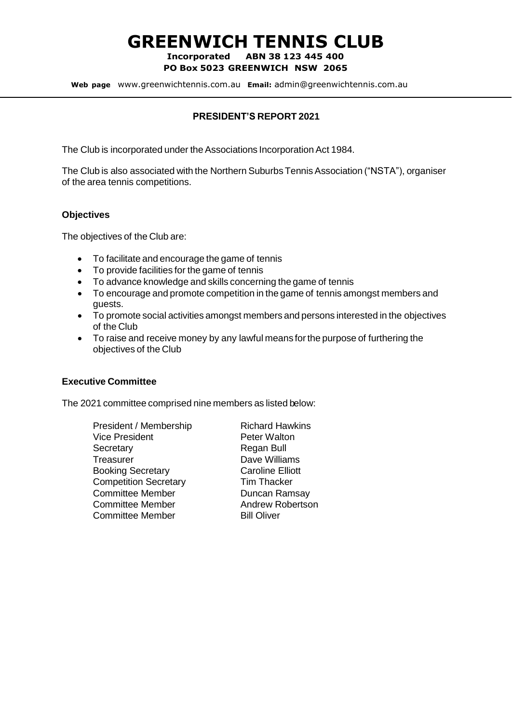# **GREENWICH TENNIS CLUB**

**Incorporated ABN 38 123 445 400 PO Box 5023 GREENWICH NSW 2065**

**Web page** www.greenwichtennis.com.au **Email:** admin@greenwichtennis.com.au

#### **PRESIDENT'S REPORT 2021**

The Club is incorporated under the Associations Incorporation Act 1984.

The Club is also associated with the Northern Suburbs Tennis Association ("NSTA"), organiser of the area tennis competitions.

#### **Objectives**

The objectives of the Club are:

- To facilitate and encourage the game of tennis
- To provide facilities for the game of tennis
- To advance knowledge and skills concerning the game of tennis
- To encourage and promote competition in the game of tennis amongst members and guests.
- To promote social activities amongst members and persons interested in the objectives of the Club
- To raise and receive money by any lawful means for the purpose of furthering the objectives of the Club

#### **Executive Committee**

The 2021 committee comprised nine members as listed below:

| President / Membership       | <b>Richard Hawkins</b>  |
|------------------------------|-------------------------|
| <b>Vice President</b>        | <b>Peter Walton</b>     |
| Secretary                    | Regan Bull              |
| Treasurer                    | Dave Williams           |
| <b>Booking Secretary</b>     | <b>Caroline Elliott</b> |
| <b>Competition Secretary</b> | <b>Tim Thacker</b>      |
| <b>Committee Member</b>      | Duncan Ramsay           |
| <b>Committee Member</b>      | Andrew Robertson        |
| <b>Committee Member</b>      | <b>Bill Oliver</b>      |
|                              |                         |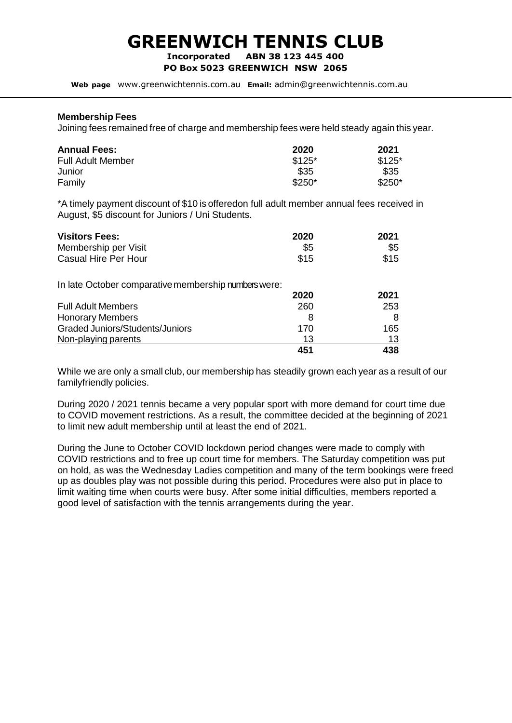# **GREENWICH TENNIS CLUB**

**Incorporated ABN 38 123 445 400**

**PO Box 5023 GREENWICH NSW 2065**

**Web page** www.greenwichtennis.com.au **Email:** admin@greenwichtennis.com.au

#### **Membership Fees**

Joining fees remained free of charge and membership fees were held steady again this year.

| <b>Annual Fees:</b>      | 2020    | 2021    |  |
|--------------------------|---------|---------|--|
| <b>Full Adult Member</b> | $$125*$ | $$125*$ |  |
| Junior                   | \$35    | \$35    |  |
| Family                   | $$250*$ | $$250*$ |  |

\*A timely payment discount of \$10 is offeredon full adult member annual fees received in August, \$5 discount for Juniors / Uni Students.

| <b>Visitors Fees:</b><br>Membership per Visit<br><b>Casual Hire Per Hour</b> | 2020<br>\$5<br>\$15 | 2021<br>\$5<br>\$15 |
|------------------------------------------------------------------------------|---------------------|---------------------|
| In late October comparative membership numbers were:                         | 2020                | 2021                |
| <b>Full Adult Members</b>                                                    | 260                 | 253                 |
| <b>Honorary Members</b>                                                      | 8                   | 8                   |
| <b>Graded Juniors/Students/Juniors</b>                                       | 170                 | 165                 |
| Non-playing parents                                                          | 13                  | 13                  |
|                                                                              | 451                 | 438                 |

While we are only a small club, our membership has steadily grown each year as a result of our familyfriendly policies.

During 2020 / 2021 tennis became a very popular sport with more demand for court time due to COVID movement restrictions. As a result, the committee decided at the beginning of 2021 to limit new adult membership until at least the end of 2021.

During the June to October COVID lockdown period changes were made to comply with COVID restrictions and to free up court time for members. The Saturday competition was put on hold, as was the Wednesday Ladies competition and many of the term bookings were freed up as doubles play was not possible during this period. Procedures were also put in place to limit waiting time when courts were busy. After some initial difficulties, members reported a good level of satisfaction with the tennis arrangements during the year.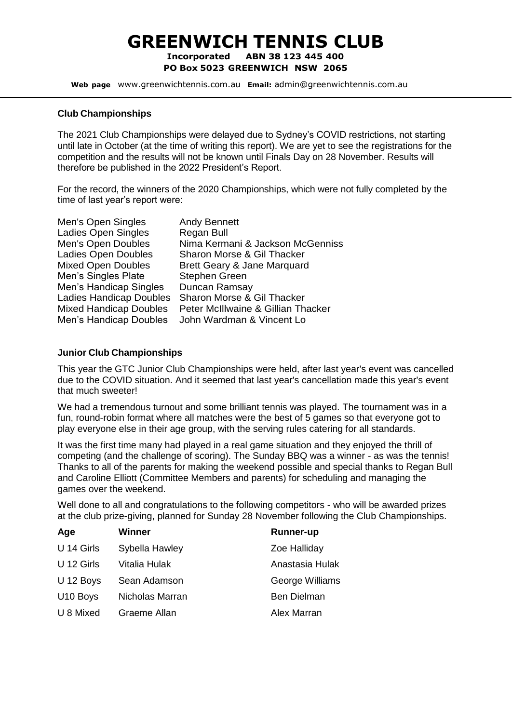# **GREENWICH TENNIS CLUB**

**Incorporated ABN 38 123 445 400 PO Box 5023 GREENWICH NSW 2065**

**Web page** www.greenwichtennis.com.au **Email:** admin@greenwichtennis.com.au

#### **Club Championships**

The 2021 Club Championships were delayed due to Sydney's COVID restrictions, not starting until late in October (at the time of writing this report). We are yet to see the registrations for the competition and the results will not be known until Finals Day on 28 November. Results will therefore be published in the 2022 President's Report.

For the record, the winners of the 2020 Championships, which were not fully completed by the time of last year's report were:

| Men's Open Singles             | <b>Andy Bennett</b>                |
|--------------------------------|------------------------------------|
| Ladies Open Singles            | Regan Bull                         |
| Men's Open Doubles             | Nima Kermani & Jackson McGenniss   |
| <b>Ladies Open Doubles</b>     | Sharon Morse & Gil Thacker         |
| <b>Mixed Open Doubles</b>      | Brett Geary & Jane Marquard        |
| Men's Singles Plate            | Stephen Green                      |
| Men's Handicap Singles         | Duncan Ramsay                      |
| <b>Ladies Handicap Doubles</b> | Sharon Morse & Gil Thacker         |
| <b>Mixed Handicap Doubles</b>  | Peter McIllwaine & Gillian Thacker |
| Men's Handicap Doubles         | John Wardman & Vincent Lo          |

#### **Junior Club Championships**

This year the GTC Junior Club Championships were held, after last year's event was cancelled due to the COVID situation. And it seemed that last year's cancellation made this year's event that much sweeter!

We had a tremendous turnout and some brilliant tennis was played. The tournament was in a fun, round-robin format where all matches were the best of 5 games so that everyone got to play everyone else in their age group, with the serving rules catering for all standards.

It was the first time many had played in a real game situation and they enjoyed the thrill of competing (and the challenge of scoring). The Sunday BBQ was a winner - as was the tennis! Thanks to all of the parents for making the weekend possible and special thanks to Regan Bull and Caroline Elliott (Committee Members and parents) for scheduling and managing the games over the weekend.

Well done to all and congratulations to the following competitors - who will be awarded prizes at the club prize-giving, planned for Sunday 28 November following the Club Championships.

| Age        | Winner          | <b>Runner-up</b>   |
|------------|-----------------|--------------------|
| U 14 Girls | Sybella Hawley  | Zoe Halliday       |
| U 12 Girls | Vitalia Hulak   | Anastasia Hulak    |
| U 12 Boys  | Sean Adamson    | George Williams    |
| U10 Boys   | Nicholas Marran | <b>Ben Dielman</b> |
| U 8 Mixed  | Graeme Allan    | Alex Marran        |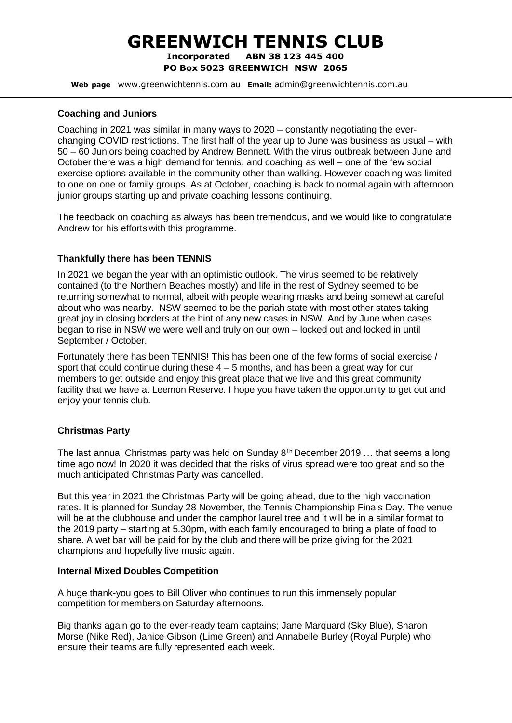## **GREENWICH TENNIS CLUB Incorporated ABN 38 123 445 400**

**PO Box 5023 GREENWICH NSW 2065**

**Web page** www.greenwichtennis.com.au **Email:** admin@greenwichtennis.com.au

#### **Coaching and Juniors**

Coaching in 2021 was similar in many ways to 2020 – constantly negotiating the everchanging COVID restrictions. The first half of the year up to June was business as usual – with 50 – 60 Juniors being coached by Andrew Bennett. With the virus outbreak between June and October there was a high demand for tennis, and coaching as well – one of the few social exercise options available in the community other than walking. However coaching was limited to one on one or family groups. As at October, coaching is back to normal again with afternoon junior groups starting up and private coaching lessons continuing.

The feedback on coaching as always has been tremendous, and we would like to congratulate Andrew for his efforts with this programme.

#### **Thankfully there has been TENNIS**

In 2021 we began the year with an optimistic outlook. The virus seemed to be relatively contained (to the Northern Beaches mostly) and life in the rest of Sydney seemed to be returning somewhat to normal, albeit with people wearing masks and being somewhat careful about who was nearby. NSW seemed to be the pariah state with most other states taking great joy in closing borders at the hint of any new cases in NSW. And by June when cases began to rise in NSW we were well and truly on our own – locked out and locked in until September / October.

Fortunately there has been TENNIS! This has been one of the few forms of social exercise / sport that could continue during these  $4 - 5$  months, and has been a great way for our members to get outside and enjoy this great place that we live and this great community facility that we have at Leemon Reserve. I hope you have taken the opportunity to get out and enjoy your tennis club.

#### **Christmas Party**

The last annual Christmas party was held on Sunday 8<sup>th</sup> December 2019 ... that seems a long time ago now! In 2020 it was decided that the risks of virus spread were too great and so the much anticipated Christmas Party was cancelled.

But this year in 2021 the Christmas Party will be going ahead, due to the high vaccination rates. It is planned for Sunday 28 November, the Tennis Championship Finals Day. The venue will be at the clubhouse and under the camphor laurel tree and it will be in a similar format to the 2019 party – starting at 5.30pm, with each family encouraged to bring a plate of food to share. A wet bar will be paid for by the club and there will be prize giving for the 2021 champions and hopefully live music again.

#### **Internal Mixed Doubles Competition**

A huge thank-you goes to Bill Oliver who continues to run this immensely popular competition for members on Saturday afternoons.

Big thanks again go to the ever-ready team captains; Jane Marquard (Sky Blue), Sharon Morse (Nike Red), Janice Gibson (Lime Green) and Annabelle Burley (Royal Purple) who ensure their teams are fully represented each week.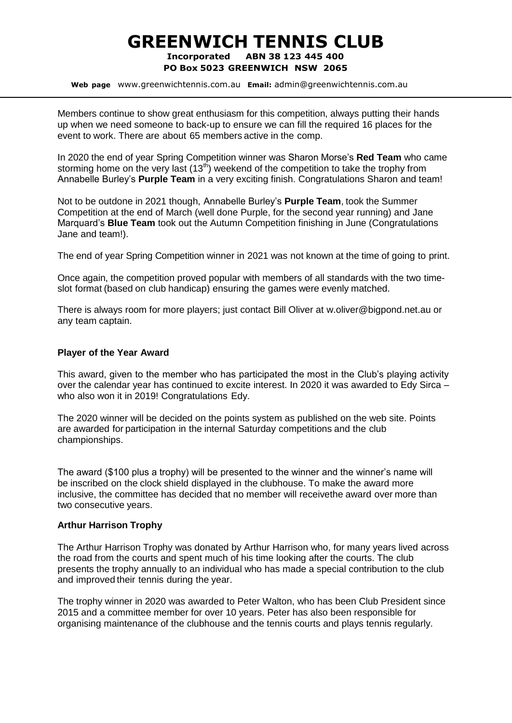### **GREENWICH TENNIS CLUB Incorporated ABN 38 123 445 400 PO Box 5023 GREENWICH NSW 2065**

**Web page** www.greenwichtennis.com.au **Email:** admin@greenwichtennis.com.au

Members continue to show great enthusiasm for this competition, always putting their hands up when we need someone to back-up to ensure we can fill the required 16 places for the event to work. There are about 65 members active in the comp.

In 2020 the end of year Spring Competition winner was Sharon Morse's **Red Team** who came storming home on the very last  $(13<sup>th</sup>)$  weekend of the competition to take the trophy from Annabelle Burley's **Purple Team** in a very exciting finish. Congratulations Sharon and team!

Not to be outdone in 2021 though, Annabelle Burley's **Purple Team**, took the Summer Competition at the end of March (well done Purple, for the second year running) and Jane Marquard's **Blue Team** took out the Autumn Competition finishing in June (Congratulations Jane and team!).

The end of year Spring Competition winner in 2021 was not known at the time of going to print.

Once again, the competition proved popular with members of all standards with the two timeslot format (based on club handicap) ensuring the games were evenly matched.

There is always room for more players; just contact Bill Oliver at [w.oliver@bigpond.net.au o](mailto:w.oliver@bigpond.net.au)r any team captain.

#### **Player of the Year Award**

This award, given to the member who has participated the most in the Club's playing activity over the calendar year has continued to excite interest. In 2020 it was awarded to Edy Sirca – who also won it in 2019! Congratulations Edy.

The 2020 winner will be decided on the points system as published on the web site. Points are awarded for participation in the internal Saturday competitions and the club championships.

The award (\$100 plus a trophy) will be presented to the winner and the winner's name will be inscribed on the clock shield displayed in the clubhouse. To make the award more inclusive, the committee has decided that no member will receivethe award over more than two consecutive years.

#### **Arthur Harrison Trophy**

The Arthur Harrison Trophy was donated by Arthur Harrison who, for many years lived across the road from the courts and spent much of his time looking after the courts. The club presents the trophy annually to an individual who has made a special contribution to the club and improved their tennis during the year.

The trophy winner in 2020 was awarded to Peter Walton, who has been Club President since 2015 and a committee member for over 10 years. Peter has also been responsible for organising maintenance of the clubhouse and the tennis courts and plays tennis regularly.